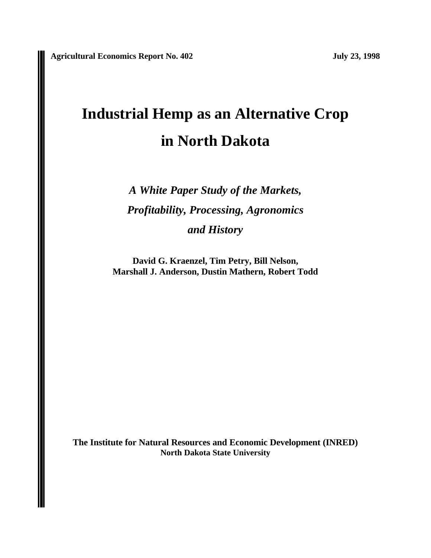# **Industrial Hemp as an Alternative Crop in North Dakota**

*A White Paper Study of the Markets, Profitability, Processing, Agronomics and History*

**David G. Kraenzel, Tim Petry, Bill Nelson, Marshall J. Anderson, Dustin Mathern, Robert Todd**

**The Institute for Natural Resources and Economic Development (INRED) North Dakota State University**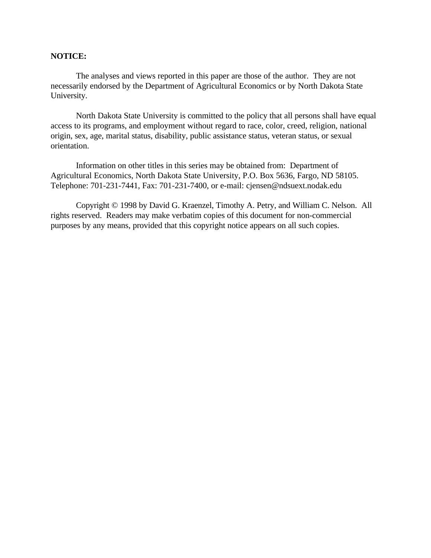# **NOTICE:**

The analyses and views reported in this paper are those of the author. They are not necessarily endorsed by the Department of Agricultural Economics or by North Dakota State University.

North Dakota State University is committed to the policy that all persons shall have equal access to its programs, and employment without regard to race, color, creed, religion, national origin, sex, age, marital status, disability, public assistance status, veteran status, or sexual orientation.

Information on other titles in this series may be obtained from: Department of Agricultural Economics, North Dakota State University, P.O. Box 5636, Fargo, ND 58105. Telephone: 701-231-7441, Fax: 701-231-7400, or e-mail: cjensen@ndsuext.nodak.edu

Copyright © 1998 by David G. Kraenzel, Timothy A. Petry, and William C. Nelson. All rights reserved. Readers may make verbatim copies of this document for non-commercial purposes by any means, provided that this copyright notice appears on all such copies.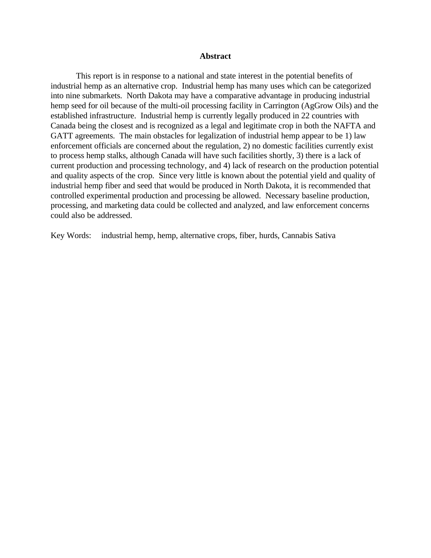### **Abstract**

This report is in response to a national and state interest in the potential benefits of industrial hemp as an alternative crop. Industrial hemp has many uses which can be categorized into nine submarkets. North Dakota may have a comparative advantage in producing industrial hemp seed for oil because of the multi-oil processing facility in Carrington (AgGrow Oils) and the established infrastructure. Industrial hemp is currently legally produced in 22 countries with Canada being the closest and is recognized as a legal and legitimate crop in both the NAFTA and GATT agreements. The main obstacles for legalization of industrial hemp appear to be 1) law enforcement officials are concerned about the regulation, 2) no domestic facilities currently exist to process hemp stalks, although Canada will have such facilities shortly, 3) there is a lack of current production and processing technology, and 4) lack of research on the production potential and quality aspects of the crop. Since very little is known about the potential yield and quality of industrial hemp fiber and seed that would be produced in North Dakota, it is recommended that controlled experimental production and processing be allowed. Necessary baseline production, processing, and marketing data could be collected and analyzed, and law enforcement concerns could also be addressed.

Key Words: industrial hemp, hemp, alternative crops, fiber, hurds, Cannabis Sativa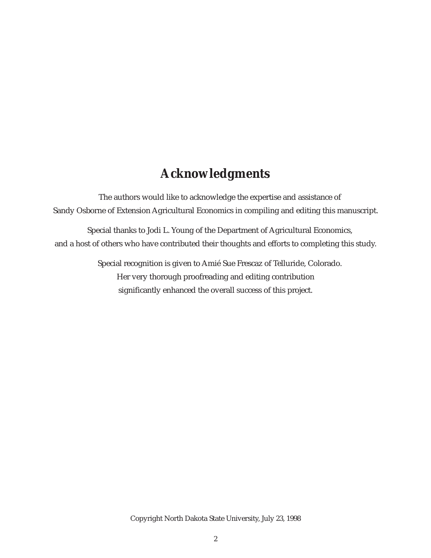# **Acknowledgments**

The authors would like to acknowledge the expertise and assistance of Sandy Osborne of Extension Agricultural Economics in compiling and editing this manuscript.

Special thanks to Jodi L. Young of the Department of Agricultural Economics, and a host of others who have contributed their thoughts and efforts to completing this study.

> Special recognition is given to Amié Sue Frescaz of Telluride, Colorado. Her very thorough proofreading and editing contribution significantly enhanced the overall success of this project.

> > Copyright North Dakota State University, July 23, 1998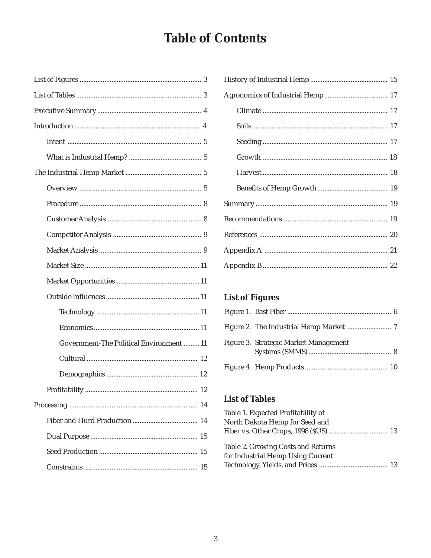# **Table of Contents**

| Government-The Political Environment  11 |
|------------------------------------------|
|                                          |
|                                          |
| 12                                       |
|                                          |
|                                          |
|                                          |
|                                          |
|                                          |

# **List of Figures**

| Figure 3. Strategic Market Management |  |
|---------------------------------------|--|
|                                       |  |

# **List of Tables**

| Table 1. Expected Profitability of |  |
|------------------------------------|--|
| North Dakota Hemp for Seed and     |  |
|                                    |  |
| Table 2. Growing Costs and Returns |  |
| for Industrial Hemp Using Current  |  |
|                                    |  |
|                                    |  |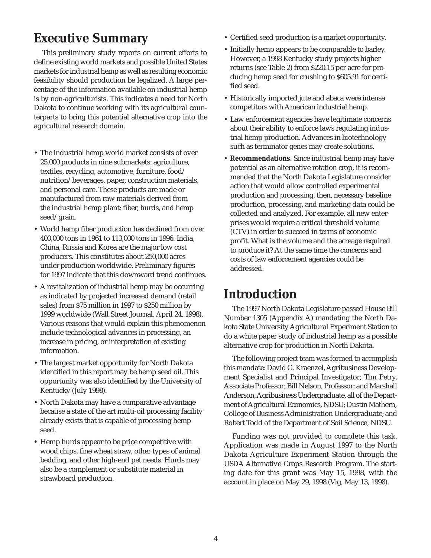# **Executive Summary**

This preliminary study reports on current efforts to define existing world markets and possible United States markets for industrial hemp as well as resulting economic feasibility should production be legalized. A large percentage of the information available on industrial hemp is by non-agriculturists. This indicates a need for North Dakota to continue working with its agricultural counterparts to bring this potential alternative crop into the agricultural research domain.

- The industrial hemp world market consists of over 25,000 products in nine submarkets: agriculture, textiles, recycling, automotive, furniture, food/ nutrition/beverages, paper, construction materials, and personal care. These products are made or manufactured from raw materials derived from the industrial hemp plant: fiber, hurds, and hemp seed/grain.
- World hemp fiber production has declined from over 400,000 tons in 1961 to 113,000 tons in 1996. India, China, Russia and Korea are the major low cost producers. This constitutes about 250,000 acres under production worldwide. Preliminary figures for 1997 indicate that this downward trend continues.
- A revitalization of industrial hemp may be occurring as indicated by projected increased demand (retail sales) from \$75 million in 1997 to \$250 million by 1999 worldwide (Wall Street Journal, April 24, 1998). Various reasons that would explain this phenomenon include technological advances in processing, an increase in pricing, or interpretation of existing information.
- The largest market opportunity for North Dakota identified in this report may be hemp seed oil. This opportunity was also identified by the University of Kentucky (July 1998).
- North Dakota may have a comparative advantage because a state of the art multi-oil processing facility already exists that is capable of processing hemp seed.
- **•** Hemp hurds appear to be price competitive with wood chips, fine wheat straw, other types of animal bedding, and other high-end pet needs. Hurds may also be a complement or substitute material in strawboard production.
- Certified seed production is a market opportunity.
- Initially hemp appears to be comparable to barley. However, a 1998 Kentucky study projects higher returns (see Table 2) from \$220.15 per acre for producing hemp seed for crushing to \$605.91 for certified seed.
- Historically imported jute and abaca were intense competitors with American industrial hemp.
- Law enforcement agencies have legitimate concerns about their ability to enforce laws regulating industrial hemp production. Advances in biotechnology such as terminator genes may create solutions.
- **Recommendations.** Since industrial hemp may have potential as an alternative rotation crop, it is recommended that the North Dakota Legislature consider action that would allow controlled experimental production and processing, then, necessary baseline production, processing, and marketing data could be collected and analyzed. For example, all new enterprises would require a critical threshold volume (CTV) in order to succeed in terms of economic profit. What is the volume and the acreage required to produce it? At the same time the concerns and costs of law enforcement agencies could be addressed.

# **Introduction**

The 1997 North Dakota Legislature passed House Bill Number 1305 (Appendix A) mandating the North Dakota State University Agricultural Experiment Station to do a white paper study of industrial hemp as a possible alternative crop for production in North Dakota.

The following project team was formed to accomplish this mandate: David G. Kraenzel, Agribusiness Development Specialist and Principal Investigator; Tim Petry, Associate Professor; Bill Nelson, Professor; and Marshall Anderson, Agribusiness Undergraduate, all of the Department of Agricultural Economics, NDSU; Dustin Mathern, College of Business Administration Undergraduate; and Robert Todd of the Department of Soil Science, NDSU.

Funding was not provided to complete this task. Application was made in August 1997 to the North Dakota Agriculture Experiment Station through the USDA Alternative Crops Research Program. The starting date for this grant was May 15, 1998, with the account in place on May 29, 1998 (Vig, May 13, 1998).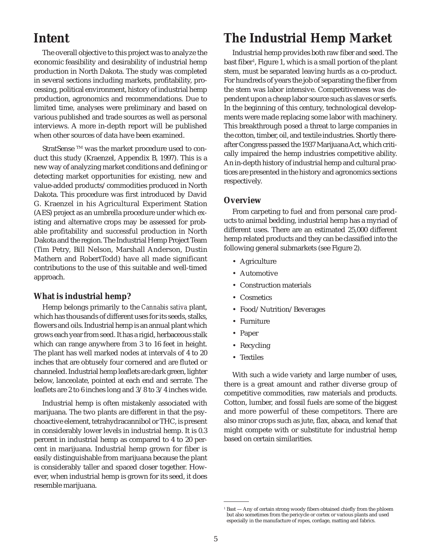# **Intent**

The overall objective to this project was to analyze the economic feasibility and desirability of industrial hemp production in North Dakota. The study was completed in several sections including markets, profitability, processing, political environment, history of industrial hemp production, agronomics and recommendations. Due to limited time, analyses were preliminary and based on various published and trade sources as well as personal interviews. A more in-depth report will be published when other sources of data have been examined.

StratSense ™ was the market procedure used to conduct this study (Kraenzel, Appendix B, 1997). This is a new way of analyzing market conditions and defining or detecting market opportunities for existing, new and value-added products/commodities produced in North Dakota. This procedure was first introduced by David G. Kraenzel in his Agricultural Experiment Station (AES) project as an umbrella procedure under which existing and alternative crops may be assessed for probable profitability and successful production in North Dakota and the region. The Industrial Hemp Project Team (Tim Petry, Bill Nelson, Marshall Anderson, Dustin Mathern and RobertTodd) have all made significant contributions to the use of this suitable and well-timed approach.

# **What is industrial hemp?**

Hemp belongs primarily to the *Cannabis sativa* plant, which has thousands of different uses for its seeds, stalks, flowers and oils. Industrial hemp is an annual plant which grows each year from seed. It has a rigid, herbaceous stalk which can range anywhere from 3 to 16 feet in height. The plant has well marked nodes at intervals of 4 to 20 inches that are obtusely four cornered and are fluted or channeled. Industrial hemp leaflets are dark green, lighter below, lanceolate, pointed at each end and serrate. The leaflets are 2 to 6 inches long and 3/8 to 3/4 inches wide.

Industrial hemp is often mistakenly associated with marijuana. The two plants are different in that the psychoactive element, tetrahydracannibol or THC, is present in considerably lower levels in industrial hemp. It is 0.3 percent in industrial hemp as compared to 4 to 20 percent in marijuana. Industrial hemp grown for fiber is easily distinguishable from marijuana because the plant is considerably taller and spaced closer together. However, when industrial hemp is grown for its seed, it does resemble marijuana.

# **The Industrial Hemp Market**

Industrial hemp provides both raw fiber and seed. The bast fiber<sup>1</sup>, Figure 1, which is a small portion of the plant stem, must be separated leaving hurds as a co-product. For hundreds of years the job of separating the fiber from the stem was labor intensive. Competitiveness was dependent upon a cheap labor source such as slaves or serfs. In the beginning of this century, technological developments were made replacing some labor with machinery. This breakthrough posed a threat to large companies in the cotton, timber, oil, and textile industries. Shortly thereafter Congress passed the 1937 Marijuana Act, which critically impaired the hemp industries competitive ability. An in-depth history of industrial hemp and cultural practices are presented in the history and agronomics sections respectively.

#### **Overview**

From carpeting to fuel and from personal care products to animal bedding, industrial hemp has a myriad of different uses. There are an estimated 25,000 different hemp related products and they can be classified into the following general submarkets (see Figure 2).

- Agriculture
- Automotive
- Construction materials
- Cosmetics
- Food/Nutrition/Beverages
- Furniture
- Paper
- Recycling
- Textiles

With such a wide variety and large number of uses, there is a great amount and rather diverse group of competitive commodities, raw materials and products. Cotton, lumber, and fossil fuels are some of the biggest and more powerful of these competitors. There are also minor crops such as jute, flax, abaca, and kenaf that might compete with or substitute for industrial hemp based on certain similarities.

<sup>&</sup>lt;sup>1</sup> Bast — Any of certain strong woody fibers obtained chiefly from the phloem but also sometimes from the pericycle or cortex or various plants and used especially in the manufacture of ropes, cordage, matting and fabrics.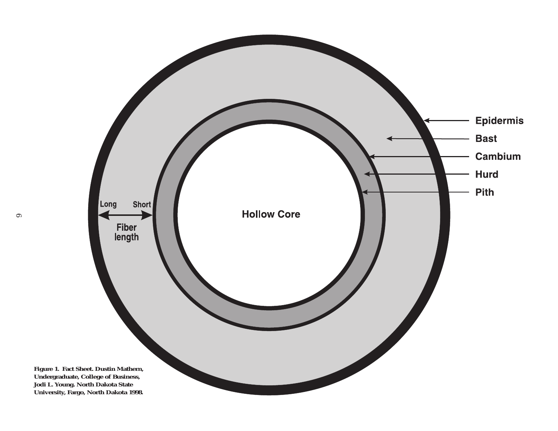

6

**Undergraduate, College of Business, Jodi L. Young. North Dakota State**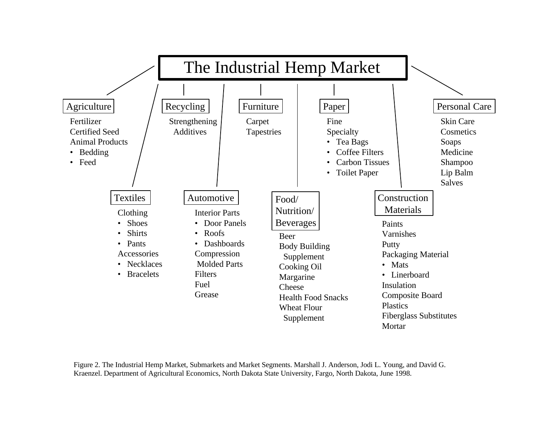

Figure 2. The Industrial Hemp Market, Submarkets and Market Segments. Marshall J. Anderson, Jodi L. Young, and David G. Kraenzel. Department of Agricultural Economics, North Dakota State University, Fargo, North Dakota, June 1998.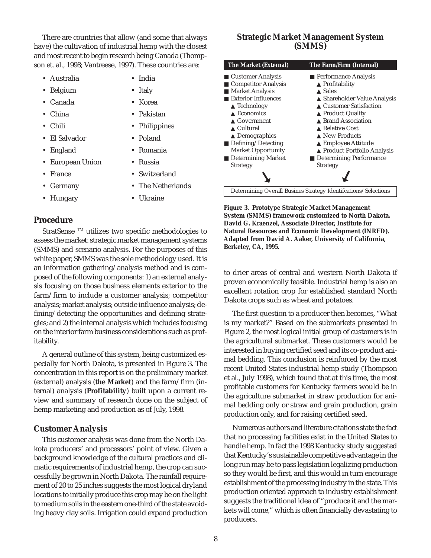There are countries that allow (and some that always have) the cultivation of industrial hemp with the closest and most recent to begin research being Canada (Thompson et. al., 1998; Vantreese, 1997). These countries are:

- Australia India
- Belgium Italy
- Canada Korea
- China Pakistan
- Chili Philippines
- El Salvador Poland
- England Romania
- European Union Russia
- 
- 
- Hungary Ukraine
- France Switzerland
- Germany The Netherlands
	-

### **Procedure**

StratSense ™ utilizes two specific methodologies to assess the market: strategic market management systems (SMMS) and scenario analysis. For the purposes of this white paper, SMMS was the sole methodology used. It is an information gathering/analysis method and is composed of the following components: 1) an external analysis focusing on those business elements exterior to the farm/firm to include a customer analysis; competitor analysis; market analysis; outside influence analysis; defining/detecting the opportunities and defining strategies; and 2) the internal analysis which includes focusing on the interior farm business considerations such as profitability.

A general outline of this system, being customized especially for North Dakota, is presented in Figure 3. The concentration in this report is on the preliminary market (external) analysis (**the Market**) and the farm/firm (internal) analysis (**Profitability**) built upon a current review and summary of research done on the subject of hemp marketing and production as of July, 1998.

# **Customer Analysis**

This customer analysis was done from the North Dakota producers' and processors' point of view. Given a background knowledge of the cultural practices and climatic requirements of industrial hemp, the crop can successfully be grown in North Dakota. The rainfall requirement of 20 to 25 inches suggests the most logical dryland locations to initially produce this crop may be on the light to medium soils in the eastern one-third of the state avoiding heavy clay soils. Irrigation could expand production

## **Strategic Market Management System (SMMS)**

| <b>The Market (External)</b>                                                                                                                                                                                                                                                                                                              | The Farm/Firm (Internal)                                                                                                                                                                                                                                                                                                       |
|-------------------------------------------------------------------------------------------------------------------------------------------------------------------------------------------------------------------------------------------------------------------------------------------------------------------------------------------|--------------------------------------------------------------------------------------------------------------------------------------------------------------------------------------------------------------------------------------------------------------------------------------------------------------------------------|
| ■ Customer Analysis<br>■ Competitor Analysis<br><b>Market Analysis</b><br>Exterior Influences<br>$\triangle$ Technology<br>$\triangle$ Economics<br>$\triangle$ Government<br>$\triangle$ Cultural<br>$\triangle$ Demographics<br>$\blacksquare$ Defining/Detecting<br><b>Market Opportunity</b><br>Determining Market<br><b>Strategy</b> | ■ Performance Analysis<br>$\triangle$ Profitability<br>$\triangle$ Sales<br>▲ Shareholder Value Analysis<br>▲ Customer Satisfaction<br><b>▲ Product Quality</b><br>▲ Brand Association<br>▲ Relative Cost<br>New Products<br>▲ Employee Attitude<br>▲ Product Portfolio Analysis<br><b>Determining Performance</b><br>Strategy |
|                                                                                                                                                                                                                                                                                                                                           | Determining Overall Busines Strategy Identifications/Selections                                                                                                                                                                                                                                                                |

**Figure 3. Prototype Strategic Market Management System (SMMS) framework customized to North Dakota. David G. Kraenzel, Associate Director, Institute for Natural Resources and Economic Development (INRED). Adapted from David A. Aaker, University of California, Berkeley, CA, 1995.**

to drier areas of central and western North Dakota if proven economically feasible. Industrial hemp is also an excellent rotation crop for established standard North Dakota crops such as wheat and potatoes.

The first question to a producer then becomes, "What is my market?" Based on the submarkets presented in Figure 2, the most logical initial group of customers is in the agricultural submarket. These customers would be interested in buying certified seed and its co-product animal bedding. This conclusion is reinforced by the most recent United States industrial hemp study (Thompson et al., July 1998), which found that at this time, the most profitable customers for Kentucky farmers would be in the agriculture submarket in straw production for animal bedding only or straw and grain production, grain production only, and for raising certified seed.

Numerous authors and literature citations state the fact that no processing facilities exist in the United States to handle hemp. In fact the 1998 Kentucky study suggested that Kentucky's sustainable competitive advantage in the long run may be to pass legislation legalizing production so they would be first, and this would in turn encourage establishment of the processing industry in the state. This production oriented approach to industry establishment suggests the traditional idea of "produce it and the markets will come," which is often financially devastating to producers.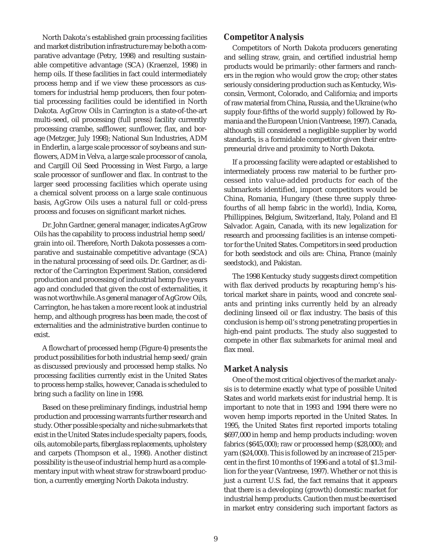North Dakota's established grain processing facilities and market distribution infrastructure may be both a comparative advantage (Petry, 1998) and resulting sustainable competitive advantage (SCA) (Kraenzel, 1998) in hemp oils. If these facilities in fact could intermediately process hemp and if we view these processors as customers for industrial hemp producers, then four potential processing facilities could be identified in North Dakota. AgGrow Oils in Carrington is a state-of-the-art multi-seed, oil processing (full press) facility currently processing crambe, safflower, sunflower, flax, and borage (Metzger, July 1998); National Sun Industries, ADM in Enderlin, a large scale processor of soybeans and sunflowers, ADM in Velva, a large scale processor of canola, and Cargill Oil Seed Processing in West Fargo, a large scale processor of sunflower and flax. In contrast to the larger seed processing facilities which operate using a chemical solvent process on a large scale continuous basis, AgGrow Oils uses a natural full or cold-press process and focuses on significant market niches.

Dr. John Gardner, general manager, indicates AgGrow Oils has the capability to process industrial hemp seed/ grain into oil. Therefore, North Dakota possesses a comparative and sustainable competitive advantage (SCA) in the natural processing of seed oils. Dr. Gardner, as director of the Carrington Experiment Station, considered production and processing of industrial hemp five years ago and concluded that given the cost of externalities, it was not worthwhile. As general manager of AgGrow Oils, Carrington, he has taken a more recent look at industrial hemp, and although progress has been made, the cost of externalities and the administrative burden continue to exist.

A flowchart of processed hemp (Figure 4) presents the product possibilities for both industrial hemp seed/grain as discussed previously and processed hemp stalks. No processing facilities currently exist in the United States to process hemp stalks, however, Canada is scheduled to bring such a facility on line in 1998.

Based on these preliminary findings, industrial hemp production and processing warrants further research and study. Other possible specialty and niche submarkets that exist in the United States include specialty papers, foods, oils, automobile parts, fiberglass replacements, upholstery and carpets (Thompson et al., 1998). Another distinct possibility is the use of industrial hemp hurd as a complementary input with wheat straw for strawboard production, a currently emerging North Dakota industry.

#### **Competitor Analysis**

Competitors of North Dakota producers generating and selling straw, grain, and certified industrial hemp products would be primarily: other farmers and ranchers in the region who would grow the crop; other states seriously considering production such as Kentucky, Wisconsin, Vermont, Colorado, and California; and imports of raw material from China, Russia, and the Ukraine (who supply four-fifths of the world supply) followed by Romania and the European Union (Vantreese, 1997). Canada, although still considered a negligible supplier by world standards, is a formidable competitor given their entrepreneurial drive and proximity to North Dakota.

If a processing facility were adapted or established to intermediately process raw material to be further processed into value-added products for each of the submarkets identified, import competitors would be China, Romania, Hungary (these three supply threefourths of all hemp fabric in the world), India, Korea, Phillippines, Belgium, Switzerland, Italy, Poland and El Salvador. Again, Canada, with its new legalization for research and processing facilities is an intense competitor for the United States. Competitors in seed production for both seedstock and oils are: China, France (mainly seedstock), and Pakistan.

The 1998 Kentucky study suggests direct competition with flax derived products by recapturing hemp's historical market share in paints, wood and concrete sealants and printing inks currently held by an already declining linseed oil or flax industry. The basis of this conclusion is hemp oil's strong penetrating properties in high-end paint products. The study also suggested to compete in other flax submarkets for animal meal and flax meal.

# **Market Analysis**

One of the most critical objectives of the market analysis is to determine exactly what type of possible United States and world markets exist for industrial hemp. It is important to note that in 1993 and 1994 there were no woven hemp imports reported in the United States. In 1995, the United States first reported imports totaling \$697,000 in hemp and hemp products including: woven fabrics (\$645,000); raw or processed hemp (\$28,000); and yarn (\$24,000). This is followed by an increase of 215 percent in the first 10 months of 1996 and a total of \$1.3 million for the year (Vantreese, 1997). Whether or not this is just a current U.S. fad, the fact remains that it appears that there is a developing (growth) domestic market for industrial hemp products. Caution then must be exercised in market entry considering such important factors as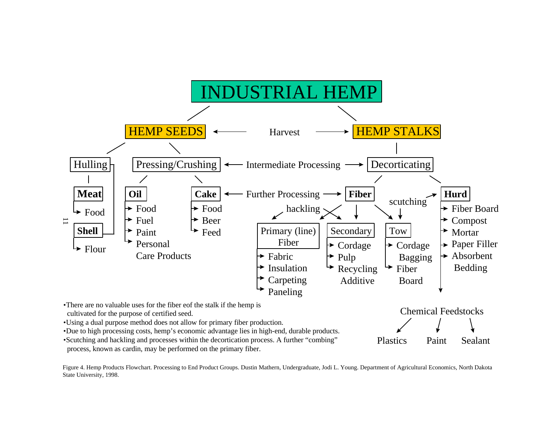

cultivated for the purpose of certified seed.

•Using a dual purpose method does not allow for primary fiber production.

•Due to high processing costs, hemp's economic advantage lies in high-end, durable products.

•Scutching and hackling and processes within the decortication process. A further "combing" process, known as cardin, may be performed on the primary fiber.

Plastics Paint Sealant

Figure 4. Hemp Products Flowchart. Processing to End Product Groups. Dustin Mathern, Undergraduate, Jodi L. Young. Department of Agricultural Economics, North Dakota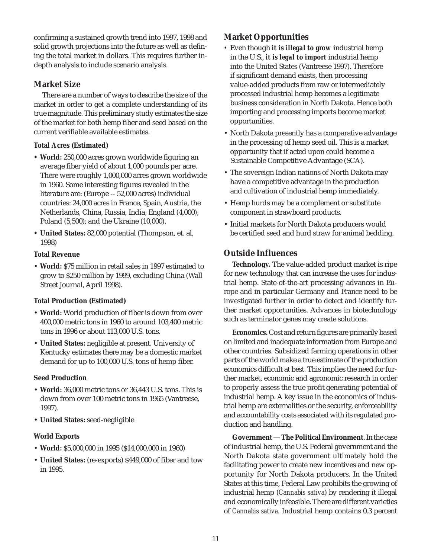confirming a sustained growth trend into 1997, 1998 and solid growth projections into the future as well as defining the total market in dollars. This requires further indepth analysis to include scenario analysis.

# **Market Size**

There are a number of ways to describe the size of the market in order to get a complete understanding of its true magnitude. This preliminary study estimates the size of the market for both hemp fiber and seed based on the current verifiable available estimates.

# **Total Acres (Estimated)**

- **World:** 250,000 acres grown worldwide figuring an average fiber yield of about 1,000 pounds per acre. There were roughly 1,000,000 acres grown worldwide in 1960. Some interesting figures revealed in the literature are: (Europe -- 52,000 acres) individual countries: 24,000 acres in France, Spain, Austria, the Netherlands, China, Russia, India; England (4,000); Poland (5,500); and the Ukraine (10,000).
- **United States:** 82,000 potential (Thompson, et. al, 1998)

### **Total Revenue**

• **World:** \$75 million in retail sales in 1997 estimated to grow to \$250 million by 1999, excluding China (Wall Street Journal, April 1998).

# **Total Production (Estimated)**

- **World:** World production of fiber is down from over 400,000 metric tons in 1960 to around 103,400 metric tons in 1996 or about 113,000 U.S. tons.
- **United States:** negligible at present. University of Kentucky estimates there may be a domestic market demand for up to 100,000 U.S. tons of hemp fiber.

# **Seed Production**

- **World:** 36,000 metric tons or 36,443 U.S. tons. This is down from over 100 metric tons in 1965 (Vantreese, 1997).
- **United States:** seed-negligible

# **World Exports**

- **World:** \$5,000,000 in 1995 (\$14,000,000 in 1960)
- **United States:** (re-exports) \$449,000 of fiber and tow in 1995.

# **Market Opportunities**

- *•* Even though *it is illegal to grow* industrial hemp in the U.S., *it is legal to import* industrial hemp into the United States (Vantreese 1997). Therefore if significant demand exists, then processing value-added products from raw or intermediately processed industrial hemp becomes a legitimate business consideration in North Dakota. Hence both importing and processing imports become market opportunities.
- North Dakota presently has a comparative advantage in the processing of hemp seed oil. This is a market opportunity that if acted upon could become a Sustainable Competitive Advantage (SCA).
- The sovereign Indian nations of North Dakota may have a competitive advantage in the production and cultivation of industrial hemp immediately.
- Hemp hurds may be a complement or substitute component in strawboard products.
- Initial markets for North Dakota producers would be certified seed and hurd straw for animal bedding.

# **Outside Influences**

**Technology.** The value-added product market is ripe for new technology that can increase the uses for industrial hemp. State-of-the-art processing advances in Europe and in particular Germany and France need to be investigated further in order to detect and identify further market opportunities. Advances in biotechnology such as terminator genes may create solutions.

**Economics.** Cost and return figures are primarily based on limited and inadequate information from Europe and other countries. Subsidized farming operations in other parts of the world make a true estimate of the production economics difficult at best. This implies the need for further market, economic and agronomic research in order to properly assess the true profit generating potential of industrial hemp. A key issue in the economics of industrial hemp are externalities or the security, enforceability and accountability costs associated with its regulated production and handling.

**Government** — **The Political Environment**. In the case of industrial hemp, the U.S. Federal government and the North Dakota state government ultimately hold the facilitating power to create new incentives and new opportunity for North Dakota producers. In the United States at this time, Federal Law prohibits the growing of industrial hemp (*Cannabis sativa*) by rendering it illegal and economically infeasible. There are different varieties of *Cannabis sativa.* Industrial hemp contains 0.3 percent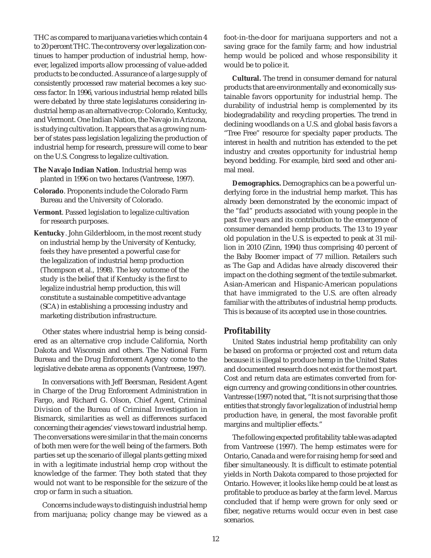THC as compared to marijuana varieties which contain 4 to 20 percent THC. The controversy over legalization continues to hamper production of industrial hemp, however, legalized imports allow processing of value-added products to be conducted. Assurance of a large supply of consistently processed raw material becomes a key success factor. In 1996, various industrial hemp related bills were debated by three state legislatures considering industrial hemp as an alternative crop: Colorado, Kentucky, and Vermont. One Indian Nation, the Navajo in Arizona, is studying cultivation. It appears that as a growing number of states pass legislation legalizing the production of industrial hemp for research, pressure will come to bear on the U.S. Congress to legalize cultivation.

- **The Navajo Indian Nation**. Industrial hemp was planted in 1996 on two hectares (Vantreese, 1997).
- **Colorado**. Proponents include the Colorado Farm Bureau and the University of Colorado.
- **Vermont**. Passed legislation to legalize cultivation for research purposes.
- **Kentucky**. John Gilderbloom, in the most recent study on industrial hemp by the University of Kentucky, feels they have presented a powerful case for the legalization of industrial hemp production (Thompson et al., 1998). The key outcome of the study is the belief that if Kentucky is the first to legalize industrial hemp production, this will constitute a sustainable competitive advantage (SCA) in establishing a processing industry and marketing distribution infrastructure.

Other states where industrial hemp is being considered as an alternative crop include California, North Dakota and Wisconsin and others. The National Farm Bureau and the Drug Enforcement Agency come to the legislative debate arena as opponents (Vantreese, 1997).

In conversations with Jeff Beersman, Resident Agent in Charge of the Drug Enforcement Administration in Fargo, and Richard G. Olson, Chief Agent, Criminal Division of the Bureau of Criminal Investigation in Bismarck, similarities as well as differences surfaced concerning their agencies' views toward industrial hemp. The conversations were similar in that the main concerns of both men were for the well being of the farmers. Both parties set up the scenario of illegal plants getting mixed in with a legitimate industrial hemp crop without the knowledge of the farmer. They both stated that they would not want to be responsible for the seizure of the crop or farm in such a situation.

Concerns include ways to distinguish industrial hemp from marijuana; policy change may be viewed as a

foot-in-the-door for marijuana supporters and not a saving grace for the family farm; and how industrial hemp would be policed and whose responsibility it would be to police it.

**Cultural.** The trend in consumer demand for natural products that are environmentally and economically sustainable favors opportunity for industrial hemp. The durability of industrial hemp is complemented by its biodegradability and recycling properties. The trend in declining woodlands on a U.S. and global basis favors a "Tree Free" resource for specialty paper products. The interest in health and nutrition has extended to the pet industry and creates opportunity for industrial hemp beyond bedding. For example, bird seed and other animal meal.

**Demographics.** Demographics can be a powerful underlying force in the industrial hemp market. This has already been demonstrated by the economic impact of the "fad" products associated with young people in the past five years and its contribution to the emergence of consumer demanded hemp products. The 13 to 19 year old population in the U.S. is expected to peak at 31 million in 2010 (Zinn, 1994) thus comprising 40 percent of the Baby Boomer impact of 77 million. Retailers such as The Gap and Adidas have already discovered their impact on the clothing segment of the textile submarket. Asian-American and Hispanic-American populations that have immigrated to the U.S. are often already familiar with the attributes of industrial hemp products. This is because of its accepted use in those countries.

#### **Profitability**

United States industrial hemp profitability can only be based on proforma or projected cost and return data because it is illegal to produce hemp in the United States and documented research does not exist for the most part. Cost and return data are estimates converted from foreign currency and growing conditions in other countries. Vantresse (1997) noted that, "It is not surprising that those entities that strongly favor legalization of industrial hemp production have, in general, the most favorable profit margins and multiplier effects."

The following expected profitability table was adapted from Vantreese (1997). The hemp estimates were for Ontario, Canada and were for raising hemp for seed and fiber simultaneously. It is difficult to estimate potential yields in North Dakota compared to those projected for Ontario. However, it looks like hemp could be at least as profitable to produce as barley at the farm level. Marcus concluded that if hemp were grown for only seed or fiber, negative returns would occur even in best case scenarios.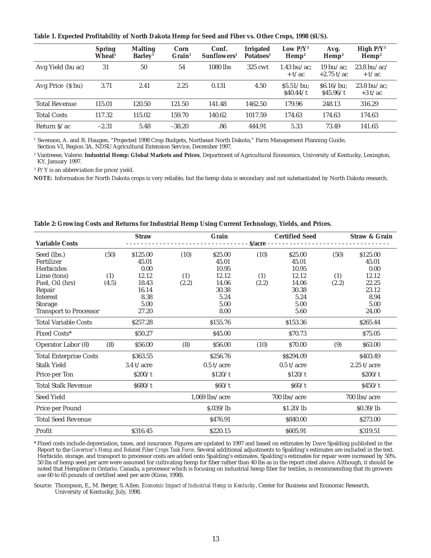**Table 1. Expected Profitability of North Dakota Hemp for Seed and Fiber vs. Other Crops, 1998 (\$US).**

|                      | <b>Spring</b><br>Wheat <sup>1</sup> | <b>Malting</b><br>Barley <sup>1</sup> | Corn<br>$Grain1$ | Conf.<br>Sunflowers <sup>1</sup> | Irrigated<br>Potatoes <sup>1</sup> | Low $P/Y^3$<br>$\mathbf{Hemp}^2$ | Avg.<br>$\mathbf{Hemp}^2$ | High $P/Y^3$<br>$\mathbf{Hemp}^2$ |
|----------------------|-------------------------------------|---------------------------------------|------------------|----------------------------------|------------------------------------|----------------------------------|---------------------------|-----------------------------------|
| Avg Yield (bu ac)    | 31                                  | 50                                    | 54               | $1080$ lbs                       | $325$ cwt                          | 1.43 bu/ac:<br>$+ t/ac$          | 19 bu/ac:<br>$+2.75$ t/ac | $23.8 \text{ bu/ac}$<br>$+ t/ac$  |
| Avg Price (\$ bu)    | 3.71                                | 2.41                                  | 2.25             | 0.131                            | 4.50                               | $$5.51/bu$ :<br>\$40.44/t        | $$6.16/bu$ :<br>\$45.96/t | 23.8 bu/ac:<br>$+3t/ac$           |
| <b>Total Revenue</b> | 115.01                              | 120.50                                | 121.50           | 141.48                           | 1462.50                            | 179.96                           | 248.13                    | 316.29                            |
| <b>Total Costs</b>   | 117.32                              | 115.02                                | 159.70           | 140.62                           | 1017.59                            | 174.63                           | 174.63                    | 174.63                            |
| Return $S/ac$        | $-2.31$                             | 5.48                                  | $-38.20$         | .86                              | 444.91                             | 5.33                             | 73.49                     | 141.65                            |

<sup>1</sup> Swenson, A. and R. Haugen. "Projected 1998 Crop Budgets, Northeast North Dakota," Farm Management Planning Guide, Section VI, Region 3A, NDSU Agricultural Extension Service, December 1997.

<sup>2</sup> Vantreese, Valerie. **Industrial Hemp: Global Markets and Prices**, Department of Agricultural Economics, University of Kentucky, Lexington, KY, January 1997.

<sup>3</sup> P/Y is an abbreviation for price/yield.

**NOTE:** Information for North Dakota crops is very reliable, but the hemp data is secondary and not substantiated by North Dakota research.

|                               |       | <b>Straw</b> |       | Grain            |            | <b>Certified Seed</b> |       | <b>Straw &amp; Grain</b> |
|-------------------------------|-------|--------------|-------|------------------|------------|-----------------------|-------|--------------------------|
| <b>Variable Costs</b>         |       |              |       |                  | $S/acre -$ |                       |       |                          |
| Seed (lbs.)                   | (50)  | \$125.00     | (10)  | \$25.00          | (10)       | \$25.00               | (50)  | \$125.00                 |
| Fertilizer                    |       | 45.01        |       | 45.01            |            | 45.01                 |       | 45.01                    |
| Herbicides                    |       | 0.00         |       | 10.95            |            | 10.95                 |       | 0.00                     |
| Lime (tons)                   | (1)   | 12.12        | (1)   | 12.12            | (1)        | 12.12                 | (1)   | 12.12                    |
| Fuel, Oil (hrs)               | (4.5) | 18.43        | (2.2) | 14.06            | (2.2)      | 14.06                 | (2.2) | 22.25                    |
| Repair                        |       | 16.14        |       | 30.38            |            | 30.38                 |       | 23.12                    |
| Interest                      |       | 8.38         |       | 5.24             |            | 5.24                  |       | 8.94                     |
| Storage                       |       | 5.00         |       | 5.00             |            | 5.00                  |       | 5.00                     |
| <b>Transport to Processor</b> |       | 27.20        |       | 8.00             |            | 5.60                  |       | 24.00                    |
| <b>Total Variable Costs</b>   |       | \$257.28     |       | \$155.76         |            | \$153.36              |       | \$265.44                 |
| Fixed Costs*                  |       | \$50.27      |       | \$45.00          |            | \$70.73               |       | \$75.05                  |
| Operator Labor (8)            | (8)   | \$56.00      | (8)   | \$56.00          | (10)       | \$70.00               | (9)   | \$63.00                  |
| <b>Total Enterprise Costs</b> |       | \$363.55     |       | \$256.76         |            | \$\$294.09            |       | \$403.49                 |
| <b>Stalk Yield</b>            |       | $3.4$ t/acre |       | $0.5$ t/acre     |            | $0.5$ t/acre          |       | $2.25$ t/acre            |
| Price per Ton                 |       | \$200/t      |       | \$120/t          |            | \$120/t               |       | \$200/t                  |
| <b>Total Stalk Revenue</b>    |       | \$680/t      |       | \$60/t           |            | \$60/t\$              |       | \$450/t                  |
| Seed Yield                    |       |              |       | $1,069$ lbs/acre |            | 700 lbs/acre          |       | 700 lbs/acre             |
| Price per Pound               |       |              |       | S.039/lb         |            | \$1.20/lb             |       | \$0.39/lb                |
| <b>Total Seed Revenue</b>     |       |              |       | \$476.91         |            | \$840.00              |       | \$273.00                 |
| Profit                        |       | \$316.45     |       | \$220.15         |            | \$605.91              |       | \$319.51                 |

**Table 2: Growing Costs and Returns for Industrial Hemp Using Current Technology, Yields, and Prices.**

\* Fixed costs include depreciation, taxes, and insurance. Figures are updated to 1997 and based on estimates by Dave Spalding published in the Report to the *Governor's Hemp and Related Fiber Crops Task Force*. Several additional adjustments to Spalding's estimates are included in the text. Herbicide, storage, and transport to processor costs are added onto Spalding's estimates. Spalding's estimates for repair were increased by 50%. 50 lbs of hemp seed per acre were assumed for cultivating hemp for fiber rather than 40 lbs as in the report cited above. Although, it should be noted that Hempline in Ontario, Canada, a processor which is focusing on industrial hemp fiber for textiles, is recommending that its growers use 60 to 65 pounds of certified seed per acre (Kime, 1998).

Source: Thompson, E., M. Berger, S. Allen. *Economic Impact of Industrial Hemp in Kentucky*, Center for Business and Economic Research, University of Kentucky, July, 1998.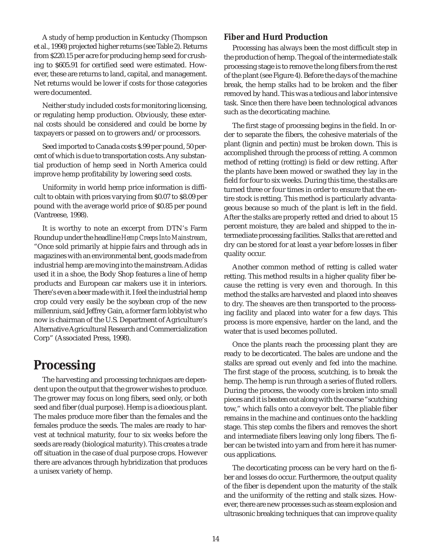A study of hemp production in Kentucky (Thompson et al., 1998) projected higher returns (see Table 2). Returns from \$220.15 per acre for producing hemp seed for crushing to \$605.91 for certified seed were estimated. However, these are returns to land, capital, and management. Net returns would be lower if costs for those categories were documented.

Neither study included costs for monitoring licensing, or regulating hemp production. Obviously, these external costs should be considered and could be borne by taxpayers or passed on to growers and/or processors.

Seed imported to Canada costs \$.99 per pound, 50 percent of which is due to transportation costs. Any substantial production of hemp seed in North America could improve hemp profitability by lowering seed costs.

Uniformity in world hemp price information is difficult to obtain with prices varying from \$0.07 to \$8.09 per pound with the average world price of \$0.85 per pound (Vantreese, 1998).

It is worthy to note an excerpt from DTN's Farm Roundup under the headline *Hemp Creeps Into Mainstream*, "Once sold primarily at hippie fairs and through ads in magazines with an environmental bent, goods made from industrial hemp are moving into the mainstream. Adidas used it in a shoe, the Body Shop features a line of hemp products and European car makers use it in interiors. There's even a beer made with it. I feel the industrial hemp crop could very easily be the soybean crop of the new millennium, said Jeffrey Gain, a former farm lobbyist who now is chairman of the U.S. Department of Agriculture's Alternative Agricultural Research and Commercialization Corp" (Associated Press, 1998).

# **Processing**

The harvesting and processing techniques are dependent upon the output that the grower wishes to produce. The grower may focus on long fibers, seed only, or both seed and fiber (dual purpose). Hemp is a dioecious plant. The males produce more fiber than the females and the females produce the seeds. The males are ready to harvest at technical maturity, four to six weeks before the seeds are ready (biological maturity). This creates a trade off situation in the case of dual purpose crops. However there are advances through hybridization that produces a unisex variety of hemp.

# **Fiber and Hurd Production**

Processing has always been the most difficult step in the production of hemp. The goal of the intermediate stalk processing stage is to remove the long fibers from the rest of the plant (see Figure 4). Before the days of the machine break, the hemp stalks had to be broken and the fiber removed by hand. This was a tedious and labor intensive task. Since then there have been technological advances such as the decorticating machine.

The first stage of processing begins in the field. In order to separate the fibers, the cohesive materials of the plant (lignin and pectin) must be broken down. This is accomplished through the process of retting. A common method of retting (rotting) is field or dew retting. After the plants have been mowed or swathed they lay in the field for four to six weeks. During this time, the stalks are turned three or four times in order to ensure that the entire stock is retting. This method is particularly advantageous because so much of the plant is left in the field. After the stalks are properly retted and dried to about 15 percent moisture, they are baled and shipped to the intermediate processing facilities. Stalks that are retted and dry can be stored for at least a year before losses in fiber quality occur.

Another common method of retting is called water retting. This method results in a higher quality fiber because the retting is very even and thorough. In this method the stalks are harvested and placed into sheaves to dry. The sheaves are then transported to the processing facility and placed into water for a few days. This process is more expensive, harder on the land, and the water that is used becomes polluted.

Once the plants reach the processing plant they are ready to be decorticated. The bales are undone and the stalks are spread out evenly and fed into the machine. The first stage of the process, scutching, is to break the hemp. The hemp is run through a series of fluted rollers. During the process, the woody core is broken into small pieces and it is beaten out along with the coarse "scutching tow," which falls onto a conveyor belt. The pliable fiber remains in the machine and continues onto the hackling stage. This step combs the fibers and removes the short and intermediate fibers leaving only long fibers. The fiber can be twisted into yarn and from here it has numerous applications.

The decorticating process can be very hard on the fiber and losses do occur. Furthermore, the output quality of the fiber is dependent upon the maturity of the stalk and the uniformity of the retting and stalk sizes. However, there are new processes such as steam explosion and ultrasonic breaking techniques that can improve quality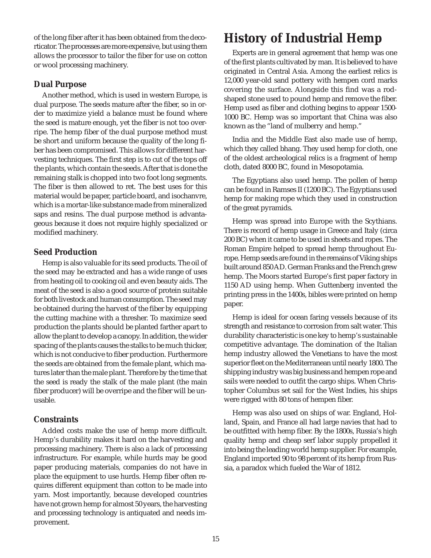of the long fiber after it has been obtained from the decorticator. The processes are more expensive, but using them allows the processor to tailor the fiber for use on cotton or wool processing machinery.

# **Dual Purpose**

Another method, which is used in western Europe, is dual purpose. The seeds mature after the fiber, so in order to maximize yield a balance must be found where the seed is mature enough, yet the fiber is not too overripe. The hemp fiber of the dual purpose method must be short and uniform because the quality of the long fiber has been compromised. This allows for different harvesting techniques. The first step is to cut of the tops off the plants, which contain the seeds. After that is done the remaining stalk is chopped into two foot long segments. The fiber is then allowed to ret. The best uses for this material would be paper, particle board, and isochanvre, which is a mortar-like substance made from mineralized saps and resins. The dual purpose method is advantageous because it does not require highly specialized or modified machinery.

## **Seed Production**

Hemp is also valuable for its seed products. The oil of the seed may be extracted and has a wide range of uses from heating oil to cooking oil and even beauty aids. The meat of the seed is also a good source of protein suitable for both livestock and human consumption. The seed may be obtained during the harvest of the fiber by equipping the cutting machine with a thresher. To maximize seed production the plants should be planted farther apart to allow the plant to develop a canopy. In addition, the wider spacing of the plants causes the stalks to be much thicker, which is not conducive to fiber production. Furthermore the seeds are obtained from the female plant, which matures later than the male plant. Therefore by the time that the seed is ready the stalk of the male plant (the main fiber producer) will be overripe and the fiber will be unusable.

## **Constraints**

Added costs make the use of hemp more difficult. Hemp's durability makes it hard on the harvesting and processing machinery. There is also a lack of processing infrastructure. For example, while hurds may be good paper producing materials, companies do not have in place the equipment to use hurds. Hemp fiber often requires different equipment than cotton to be made into yarn. Most importantly, because developed countries have not grown hemp for almost 50 years, the harvesting and processing technology is antiquated and needs improvement.

# **History of Industrial Hemp**

Experts are in general agreement that hemp was one of the first plants cultivated by man. It is believed to have originated in Central Asia. Among the earliest relics is 12,000 year-old sand pottery with hempen cord marks covering the surface. Alongside this find was a rodshaped stone used to pound hemp and remove the fiber. Hemp used as fiber and clothing begins to appear 1500- 1000 BC. Hemp was so important that China was also known as the "land of mulberry and hemp."

India and the Middle East also made use of hemp, which they called bhang. They used hemp for cloth, one of the oldest archeological relics is a fragment of hemp cloth, dated 8000 BC, found in Mesopotamia.

The Egyptians also used hemp. The pollen of hemp can be found in Ramses II (1200 BC). The Egyptians used hemp for making rope which they used in construction of the great pyramids.

Hemp was spread into Europe with the Scythians. There is record of hemp usage in Greece and Italy (circa 200 BC) when it came to be used in sheets and ropes. The Roman Empire helped to spread hemp throughout Europe. Hemp seeds are found in the remains of Viking ships built around 850 AD. German Franks and the French grew hemp. The Moors started Europe's first paper factory in 1150 AD using hemp. When Guttenberg invented the printing press in the 1400s, bibles were printed on hemp paper.

Hemp is ideal for ocean faring vessels because of its strength and resistance to corrosion from salt water. This durability characteristic is one key to hemp's sustainable competitive advantage. The domination of the Italian hemp industry allowed the Venetians to have the most superior fleet on the Mediterranean until nearly 1800. The shipping industry was big business and hempen rope and sails were needed to outfit the cargo ships. When Christopher Columbus set sail for the West Indies, his ships were rigged with 80 tons of hempen fiber.

Hemp was also used on ships of war. England, Holland, Spain, and France all had large navies that had to be outfitted with hemp fiber. By the 1800s, Russia's high quality hemp and cheap serf labor supply propelled it into being the leading world hemp supplier. For example, England imported 90 to 98 percent of its hemp from Russia, a paradox which fueled the War of 1812.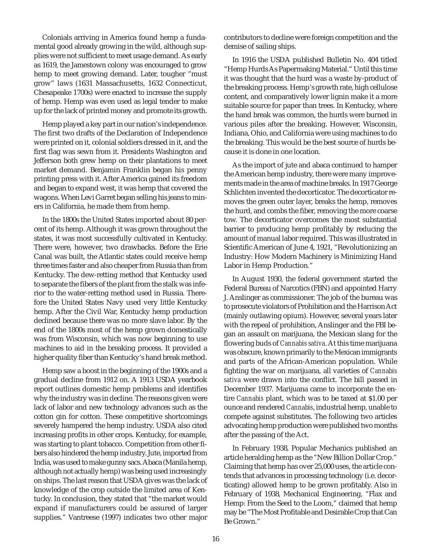Colonials arriving in America found hemp a fundamental good already growing in the wild, although supplies were not sufficient to meet usage demand. As early as 1619, the Jamestown colony was encouraged to grow hemp to meet growing demand. Later, tougher "must grow" laws (1631 Massachusetts, 1632 Connecticut, Chesapeake 1700s) were enacted to increase the supply of hemp. Hemp was even used as legal tender to make up for the lack of printed money and promote its growth.

Hemp played a key part in our nation's independence. The first two drafts of the Declaration of Independence were printed on it, colonial soldiers dressed in it, and the first flag was sewn from it. Presidents Washington and Jefferson both grew hemp on their plantations to meet market demand. Benjamin Franklin began his penny printing press with it. After America gained its freedom and began to expand west, it was hemp that covered the wagons. When Levi Garret began selling his jeans to miners in California, he made them from hemp.

In the 1800s the United States imported about 80 percent of its hemp. Although it was grown throughout the states, it was most successfully cultivated in Kentucky. There were, however, two drawbacks. Before the Erie Canal was built, the Atlantic states could receive hemp three times faster and also cheaper from Russia than from Kentucky. The dew-retting method that Kentucky used to separate the fibers of the plant from the stalk was inferior to the water-retting method used in Russia. Therefore the United States Navy used very little Kentucky hemp. After the Civil War, Kentucky hemp production declined because there was no more slave labor. By the end of the 1800s most of the hemp grown domestically was from Wisconsin, which was now beginning to use machines to aid in the breaking process. It provided a higher quality fiber than Kentucky's hand break method.

Hemp saw a boost in the beginning of the 1900s and a gradual decline from 1912 on. A 1913 USDA yearbook report outlines domestic hemp problems and identifies why the industry was in decline. The reasons given were lack of labor and new technology advances such as the cotton gin for cotton. These competitive shortcomings severely hampered the hemp industry. USDA also cited increasing profits in other crops. Kentucky, for example, was starting to plant tobacco. Competition from other fibers also hindered the hemp industry. Jute, imported from India, was used to make gunny sacs. Abaca (Manila hemp, although not actually hemp) was being used increasingly on ships. The last reason that USDA gives was the lack of knowledge of the crop outside the limited area of Kentucky. In conclusion, they stated that "the market would expand if manufacturers could be assured of larger supplies." Vantreese (1997) indicates two other major

contributors to decline were foreign competition and the demise of sailing ships.

In 1916 the USDA published Bulletin No. 404 titled "Hemp Hurds As Papermaking Material." Until this time it was thought that the hurd was a waste by-product of the breaking process. Hemp's growth rate, high cellulose content, and comparatively lower lignin make it a more suitable source for paper than trees. In Kentucky, where the hand break was common, the hurds were burned in various piles after the breaking. However, Wisconsin, Indiana, Ohio, and California were using machines to do the breaking. This would be the best source of hurds because it is done in one location.

As the import of jute and abaca continued to hamper the American hemp industry, there were many improvements made in the area of machine breaks. In 1917 George Schlichten invented the decorticator. The decorticator removes the green outer layer, breaks the hemp, removes the hurd, and combs the fiber, removing the more coarse tow. The decorticator overcomes the most substantial barrier to producing hemp profitably by reducing the amount of manual labor required. This was illustrated in Scientific American of June 4, 1921, "Revolutionizing an Industry: How Modern Machinery is Minimizing Hand Labor in Hemp Production."

In August 1930, the federal government started the Federal Bureau of Narcotics (FBN) and appointed Harry J. Anslinger as commissioner. The job of the bureau was to prosecute violators of Prohibition and the Harrison Act (mainly outlawing opium). However, several years later with the repeal of prohibition, Anslinger and the FBI began an assault on marijuana, the Mexican slang for the flowering buds of *Cannabis sativa*. At this time marijuana was obscure, known primarily to the Mexican immigrants and parts of the African-American population. While fighting the war on marijuana, all varieties of *Cannabis sativa* were drawn into the conflict. The bill passed in December 1937. Marijuana came to incorporate the entire *Cannabis* plant, which was to be taxed at \$1.00 per ounce and rendered *Cannabis*, industrial hemp, unable to compete against substitutes. The following two articles advocating hemp production were published two months after the passing of the Act.

In February 1938, Popular Mechanics published an article heralding hemp as the "New Billion Dollar Crop." Claiming that hemp has over 25,000 uses, the article contends that advances in processing technology (i.e. decorticating) allowed hemp to be grown profitably. Also in February of 1938, Mechanical Engineering, "Flax and Hemp: From the Seed to the Loom," claimed that hemp may be "The Most Profitable and Desirable Crop that Can Be Grown."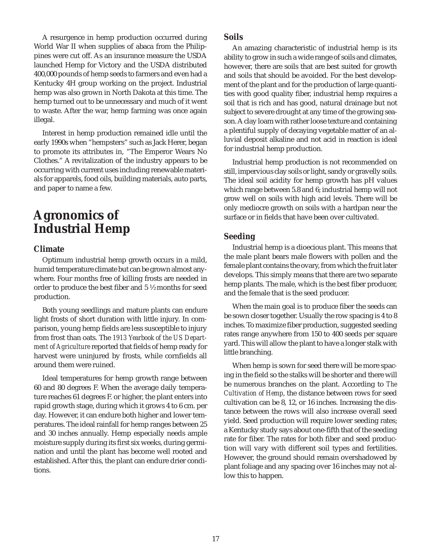A resurgence in hemp production occurred during World War II when supplies of abaca from the Philippines were cut off. As an insurance measure the USDA launched Hemp for Victory and the USDA distributed 400,000 pounds of hemp seeds to farmers and even had a Kentucky 4H group working on the project. Industrial hemp was also grown in North Dakota at this time. The hemp turned out to be unnecessary and much of it went to waste. After the war, hemp farming was once again illegal.

Interest in hemp production remained idle until the early 1990s when "hempsters" such as Jack Herer, began to promote its attributes in, "The Emperor Wears No Clothes." A revitalization of the industry appears to be occurring with current uses including renewable materials for apparels, food oils, building materials, auto parts, and paper to name a few.

# **Agronomics of Industrial Hemp**

# **Climate**

Optimum industrial hemp growth occurs in a mild, humid temperature climate but can be grown almost anywhere. Four months free of killing frosts are needed in order to produce the best fiber and 5 ½ months for seed production.

Both young seedlings and mature plants can endure light frosts of short duration with little injury. In comparison, young hemp fields are less susceptible to injury from frost than oats. The *1913 Yearbook of the US Department of Agriculture* reported that fields of hemp ready for harvest were uninjured by frosts, while cornfields all around them were ruined.

Ideal temperatures for hemp growth range between 60 and 80 degrees F. When the average daily temperature reaches 61 degrees F. or higher, the plant enters into rapid growth stage, during which it grows 4 to 6 cm. per day. However, it can endure both higher and lower temperatures. The ideal rainfall for hemp ranges between 25 and 30 inches annually. Hemp especially needs ample moisture supply during its first six weeks, during germination and until the plant has become well rooted and established. After this, the plant can endure drier conditions.

## **Soils**

An amazing characteristic of industrial hemp is its ability to grow in such a wide range of soils and climates, however, there are soils that are best suited for growth and soils that should be avoided. For the best development of the plant and for the production of large quantities with good quality fiber, industrial hemp requires a soil that is rich and has good, natural drainage but not subject to severe drought at any time of the growing season. A clay loam with rather loose texture and containing a plentiful supply of decaying vegetable matter of an alluvial deposit alkaline and not acid in reaction is ideal for industrial hemp production.

Industrial hemp production is not recommended on still, impervious clay soils or light, sandy or gravelly soils. The ideal soil acidity for hemp growth has pH values which range between 5.8 and 6; industrial hemp will not grow well on soils with high acid levels. There will be only mediocre growth on soils with a hardpan near the surface or in fields that have been over cultivated.

# **Seeding**

Industrial hemp is a dioecious plant. This means that the male plant bears male flowers with pollen and the female plant contains the ovary, from which the fruit later develops. This simply means that there are two separate hemp plants. The male, which is the best fiber producer, and the female that is the seed producer.

When the main goal is to produce fiber the seeds can be sown closer together. Usually the row spacing is 4 to 8 inches. To maximize fiber production, suggested seeding rates range anywhere from 150 to 400 seeds per square yard. This will allow the plant to have a longer stalk with little branching.

When hemp is sown for seed there will be more spacing in the field so the stalks will be shorter and there will be numerous branches on the plant. According to *The Cultivation of Hemp*, the distance between rows for seed cultivation can be 8, 12, or 16 inches. Increasing the distance between the rows will also increase overall seed yield. Seed production will require lower seeding rates; a Kentucky study says about one-fifth that of the seeding rate for fiber. The rates for both fiber and seed production will vary with different soil types and fertilities. However, the ground should remain overshadowed by plant foliage and any spacing over 16 inches may not allow this to happen.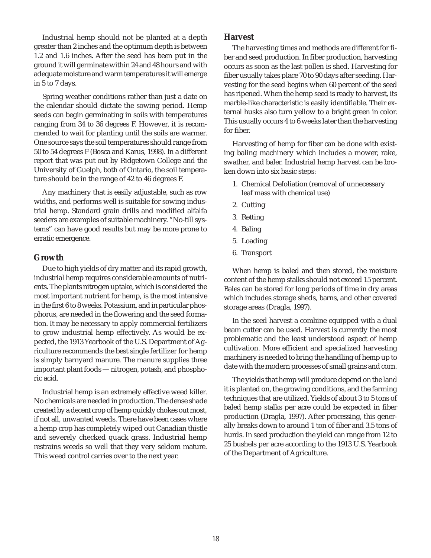Industrial hemp should not be planted at a depth greater than 2 inches and the optimum depth is between 1.2 and 1.6 inches. After the seed has been put in the ground it will germinate within 24 and 48 hours and with adequate moisture and warm temperatures it will emerge in 5 to 7 days.

Spring weather conditions rather than just a date on the calendar should dictate the sowing period. Hemp seeds can begin germinating in soils with temperatures ranging from 34 to 36 degrees F. However, it is recommended to wait for planting until the soils are warmer. One source says the soil temperatures should range from 50 to 54 degrees F (Bosca and Karus, 1998). In a different report that was put out by Ridgetown College and the University of Guelph, both of Ontario, the soil temperature should be in the range of 42 to 46 degrees F.

Any machinery that is easily adjustable, such as row widths, and performs well is suitable for sowing industrial hemp. Standard grain drills and modified alfalfa seeders are examples of suitable machinery. "No-till systems" can have good results but may be more prone to erratic emergence.

### **Growth**

Due to high yields of dry matter and its rapid growth, industrial hemp requires considerable amounts of nutrients. The plants nitrogen uptake, which is considered the most important nutrient for hemp, is the most intensive in the first 6 to 8 weeks. Potassium, and in particular phosphorus, are needed in the flowering and the seed formation. It may be necessary to apply commercial fertilizers to grow industrial hemp effectively. As would be expected, the 1913 Yearbook of the U.S. Department of Agriculture recommends the best single fertilizer for hemp is simply barnyard manure. The manure supplies three important plant foods — nitrogen, potash, and phosphoric acid.

Industrial hemp is an extremely effective weed killer. No chemicals are needed in production. The dense shade created by a decent crop of hemp quickly chokes out most, if not all, unwanted weeds. There have been cases where a hemp crop has completely wiped out Canadian thistle and severely checked quack grass. Industrial hemp restrains weeds so well that they very seldom mature. This weed control carries over to the next year.

### **Harvest**

The harvesting times and methods are different for fiber and seed production. In fiber production, harvesting occurs as soon as the last pollen is shed. Harvesting for fiber usually takes place 70 to 90 days after seeding. Harvesting for the seed begins when 60 percent of the seed has ripened. When the hemp seed is ready to harvest, its marble-like characteristic is easily identifiable. Their external husks also turn yellow to a bright green in color. This usually occurs 4 to 6 weeks later than the harvesting for fiber.

Harvesting of hemp for fiber can be done with existing baling machinery which includes a mower, rake, swather, and baler. Industrial hemp harvest can be broken down into six basic steps:

- 1. Chemical Defoliation (removal of unnecessary leaf mass with chemical use)
- 2. Cutting
- 3. Retting
- 4. Baling
- 5. Loading
- 6. Transport

When hemp is baled and then stored, the moisture content of the hemp stalks should not exceed 15 percent. Bales can be stored for long periods of time in dry areas which includes storage sheds, barns, and other covered storage areas (Dragla, 1997).

In the seed harvest a combine equipped with a dual beam cutter can be used. Harvest is currently the most problematic and the least understood aspect of hemp cultivation. More efficient and specialized harvesting machinery is needed to bring the handling of hemp up to date with the modern processes of small grains and corn.

The yields that hemp will produce depend on the land it is planted on, the growing conditions, and the farming techniques that are utilized. Yields of about 3 to 5 tons of baled hemp stalks per acre could be expected in fiber production (Dragla, 1997). After processing, this generally breaks down to around 1 ton of fiber and 3.5 tons of hurds. In seed production the yield can range from 12 to 25 bushels per acre according to the 1913 U.S. Yearbook of the Department of Agriculture.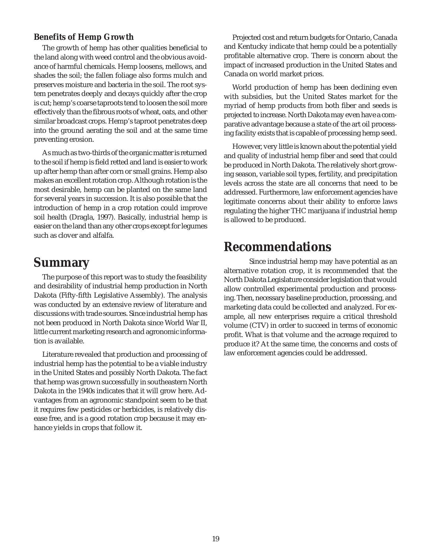## **Benefits of Hemp Growth**

The growth of hemp has other qualities beneficial to the land along with weed control and the obvious avoidance of harmful chemicals. Hemp loosens, mellows, and shades the soil; the fallen foliage also forms mulch and preserves moisture and bacteria in the soil. The root system penetrates deeply and decays quickly after the crop is cut; hemp's coarse taproots tend to loosen the soil more effectively than the fibrous roots of wheat, oats, and other similar broadcast crops. Hemp's taproot penetrates deep into the ground aerating the soil and at the same time preventing erosion.

As much as two-thirds of the organic matter is returned to the soil if hemp is field retted and land is easier to work up after hemp than after corn or small grains. Hemp also makes an excellent rotation crop. Although rotation is the most desirable, hemp can be planted on the same land for several years in succession. It is also possible that the introduction of hemp in a crop rotation could improve soil health (Dragla, 1997). Basically, industrial hemp is easier on the land than any other crops except for legumes such as clover and alfalfa.

# **Summary**

The purpose of this report was to study the feasibility and desirability of industrial hemp production in North Dakota (Fifty-fifth Legislative Assembly). The analysis was conducted by an extensive review of literature and discussions with trade sources. Since industrial hemp has not been produced in North Dakota since World War II, little current marketing research and agronomic information is available.

Literature revealed that production and processing of industrial hemp has the potential to be a viable industry in the United States and possibly North Dakota. The fact that hemp was grown successfully in southeastern North Dakota in the 1940s indicates that it will grow here. Advantages from an agronomic standpoint seem to be that it requires few pesticides or herbicides, is relatively disease free, and is a good rotation crop because it may enhance yields in crops that follow it.

Projected cost and return budgets for Ontario, Canada and Kentucky indicate that hemp could be a potentially profitable alternative crop. There is concern about the impact of increased production in the United States and Canada on world market prices.

World production of hemp has been declining even with subsidies, but the United States market for the myriad of hemp products from both fiber and seeds is projected to increase. North Dakota may even have a comparative advantage because a state of the art oil processing facility exists that is capable of processing hemp seed.

However, very little is known about the potential yield and quality of industrial hemp fiber and seed that could be produced in North Dakota. The relatively short growing season, variable soil types, fertility, and precipitation levels across the state are all concerns that need to be addressed. Furthermore, law enforcement agencies have legitimate concerns about their ability to enforce laws regulating the higher THC marijuana if industrial hemp is allowed to be produced.

# **Recommendations**

Since industrial hemp may have potential as an alternative rotation crop, it is recommended that the North Dakota Legislature consider legislation that would allow controlled experimental production and processing. Then, necessary baseline production, processing, and marketing data could be collected and analyzed. For example, all new enterprises require a critical threshold volume (CTV) in order to succeed in terms of economic profit. What is that volume and the acreage required to produce it? At the same time, the concerns and costs of law enforcement agencies could be addressed.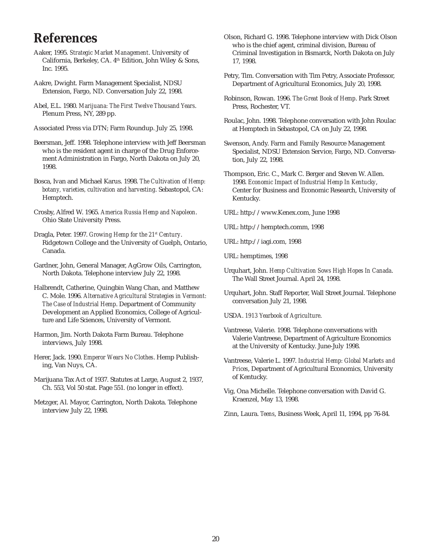# **References**

- Aaker, 1995. *Strategic Market Management*. University of California, Berkeley, CA. 4<sup>th</sup> Edition, John Wiley & Sons, Inc. 1995.
- Aakre, Dwight. Farm Management Specialist, NDSU Extension, Fargo, ND. Conversation July 22, 1998.
- Abel, E.L. 1980. *Marijuana: The First Twelve Thousand Years*. Plenum Press, NY, 289 pp.
- Associated Press via DTN; Farm Roundup. July 25, 1998.
- Beersman, Jeff. 1998. Telephone interview with Jeff Beersman who is the resident agent in charge of the Drug Enforcement Administration in Fargo, North Dakota on July 20, 1998.
- Bosca, Ivan and Michael Karus. 1998. *The Cultivation of Hemp: botany, varieties, cultivation and harvesting*. Sebastopol, CA: Hemptech.
- Crosby, Alfred W. 1965. *America Russia Hemp and Napoleon*. Ohio State University Press.
- Dragla, Peter. 1997. *Growing Hemp for the 21st Century*. Ridgetown College and the University of Guelph, Ontario, Canada.
- Gardner, John, General Manager, AgGrow Oils, Carrington, North Dakota. Telephone interview July 22, 1998.
- Halbrendt, Catherine, Quingbin Wang Chan, and Matthew C. Mole. 1996. *Alternative Agricultural Strategies in Vermont: The Case of Industrial Hemp*. Department of Community Development an Applied Economics, College of Agriculture and Life Sciences, University of Vermont.
- Harmon, Jim. North Dakota Farm Bureau. Telephone interviews, July 1998.
- Herer, Jack. 1990. *Emperor Wears No Clothes*. Hemp Publishing, Van Nuys, CA.
- Marijuana Tax Act of 1937. Statutes at Large, August 2, 1937, Ch. 553, Vol 50 stat. Page 551. (no longer in effect).
- Metzger, Al. Mayor, Carrington, North Dakota. Telephone interview July 22, 1998.
- Olson, Richard G. 1998. Telephone interview with Dick Olson who is the chief agent, criminal division, Bureau of Criminal Investigation in Bismarck, North Dakota on July 17, 1998.
- Petry, Tim. Conversation with Tim Petry, Associate Professor, Department of Agricultural Economics, July 20, 1998.
- Robinson, Rowan. 1996. *The Great Book of Hemp*. Park Street Press, Rochester, VT.
- Roulac, John. 1998. Telephone conversation with John Roulac at Hemptech in Sebastopol, CA on July 22, 1998.
- Swenson, Andy. Farm and Family Resource Management Specialist, NDSU Extension Service, Fargo, ND. Conversation, July 22, 1998.
- Thompson, Eric. C., Mark C. Berger and Steven W. Allen. 1998. *Economic Impact of Industrial Hemp In Kentucky*, Center for Business and Economic Research, University of Kentucky.
- URL: http://www.Kenex.com, June 1998
- URL: http://hemptech.comm, 1998
- URL: http://iagi.com, 1998
- URL: hemptimes, 1998
- Urquhart, John. *Hemp Cultivation Sows High Hopes In Canada*. The Wall Street Journal. April 24, 1998.
- Urquhart, John. Staff Reporter, Wall Street Journal. Telephone conversation July 21, 1998.
- USDA. *1913 Yearbook of Agriculture*.
- Vantreese, Valerie. 1998. Telephone conversations with Valerie Vantreese, Department of Agriculture Economics at the University of Kentucky. June-July 1998.
- Vantreese, Valerie L. 1997. *Industrial Hemp: Global Markets and Prices*, Department of Agricultural Economics, University of Kentucky.
- Vig, Ona Michelle. Telephone conversation with David G. Kraenzel, May 13, 1998.
- Zinn, Laura. *Teens*, Business Week, April 11, 1994, pp 76-84.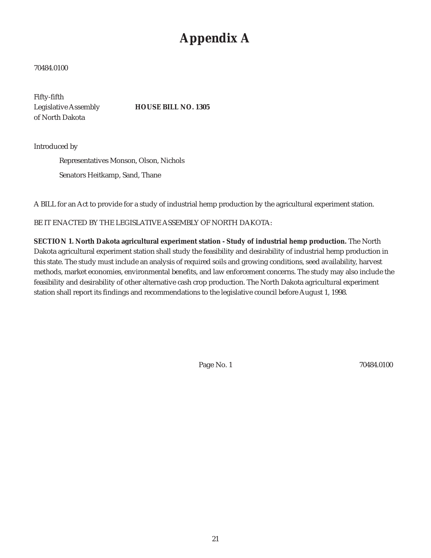# **Appendix A**

#### 70484.0100

Fifty-fifth of North Dakota

Legislative Assembly **HOUSE BILL NO. 1305**

Introduced by

Representatives Monson, Olson, Nichols Senators Heitkamp, Sand, Thane

A BILL for an Act to provide for a study of industrial hemp production by the agricultural experiment station.

BE IT ENACTED BY THE LEGISLATIVE ASSEMBLY OF NORTH DAKOTA:

**SECTION 1. North Dakota agricultural experiment station - Study of industrial hemp production.** The North Dakota agricultural experiment station shall study the feasibility and desirability of industrial hemp production in this state. The study must include an analysis of required soils and growing conditions, seed availability, harvest methods, market economies, environmental benefits, and law enforcement concerns. The study may also include the feasibility and desirability of other alternative cash crop production. The North Dakota agricultural experiment station shall report its findings and recommendations to the legislative council before August 1, 1998.

Page No. 1 70484.0100